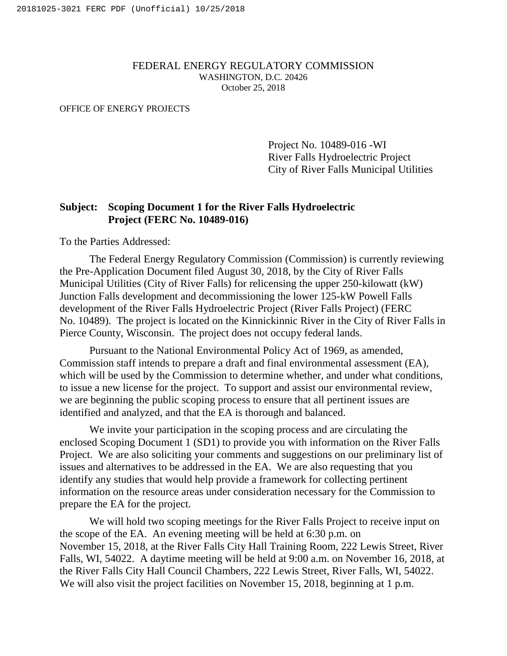#### FEDERAL ENERGY REGULATORY COMMISSION WASHINGTON, D.C. 20426 October 25, 2018

#### OFFICE OF ENERGY PROJECTS

Project No. 10489-016 -WI River Falls Hydroelectric Project City of River Falls Municipal Utilities

#### **Subject: Scoping Document 1 for the River Falls Hydroelectric Project (FERC No. 10489-016)**

To the Parties Addressed:

The Federal Energy Regulatory Commission (Commission) is currently reviewing the Pre-Application Document filed August 30, 2018, by the City of River Falls Municipal Utilities (City of River Falls) for relicensing the upper 250-kilowatt (kW) Junction Falls development and decommissioning the lower 125-kW Powell Falls development of the River Falls Hydroelectric Project (River Falls Project) (FERC No. 10489). The project is located on the Kinnickinnic River in the City of River Falls in Pierce County, Wisconsin. The project does not occupy federal lands.

Pursuant to the National Environmental Policy Act of 1969, as amended, Commission staff intends to prepare a draft and final environmental assessment (EA), which will be used by the Commission to determine whether, and under what conditions, to issue a new license for the project. To support and assist our environmental review, we are beginning the public scoping process to ensure that all pertinent issues are identified and analyzed, and that the EA is thorough and balanced.

We invite your participation in the scoping process and are circulating the enclosed Scoping Document 1 (SD1) to provide you with information on the River Falls Project. We are also soliciting your comments and suggestions on our preliminary list of issues and alternatives to be addressed in the EA. We are also requesting that you identify any studies that would help provide a framework for collecting pertinent information on the resource areas under consideration necessary for the Commission to prepare the EA for the project.

We will hold two scoping meetings for the River Falls Project to receive input on the scope of the EA. An evening meeting will be held at 6:30 p.m. on November 15, 2018, at the River Falls City Hall Training Room, 222 Lewis Street, River Falls, WI, 54022. A daytime meeting will be held at 9:00 a.m. on November 16, 2018, at the River Falls City Hall Council Chambers, 222 Lewis Street, River Falls, WI, 54022. We will also visit the project facilities on November 15, 2018, beginning at 1 p.m.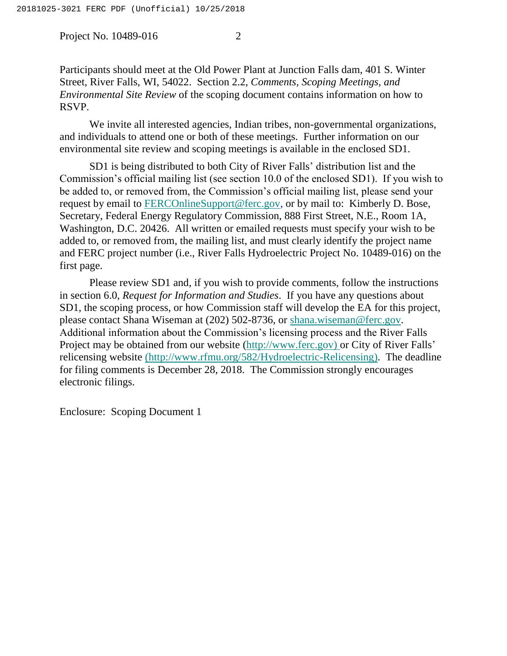Project No. 10489-016 2

Participants should meet at the Old Power Plant at Junction Falls dam, 401 S. Winter Street, River Falls, WI, 54022. Section 2.2, *Comments, Scoping Meetings, and Environmental Site Review* of the scoping document contains information on how to RSVP.

We invite all interested agencies, Indian tribes, non-governmental organizations, and individuals to attend one or both of these meetings. Further information on our environmental site review and scoping meetings is available in the enclosed SD1.

SD1 is being distributed to both City of River Falls' distribution list and the Commission's official mailing list (see section 10.0 of the enclosed SD1). If you wish to be added to, or removed from, the Commission's official mailing list, please send your request by email to [FERCOnlineSupport@ferc.gov,](mailto:FERCOnlineSupport@ferc.gov) or by mail to: Kimberly D. Bose, Secretary, Federal Energy Regulatory Commission, 888 First Street, N.E., Room 1A, Washington, D.C. 20426. All written or emailed requests must specify your wish to be added to, or removed from, the mailing list, and must clearly identify the project name and FERC project number (i.e., River Falls Hydroelectric Project No. 10489-016) on the first page.

Please review SD1 and, if you wish to provide comments, follow the instructions in section 6.0, *Request for Information and Studies*. If you have any questions about SD1, the scoping process, or how Commission staff will develop the EA for this project, please contact Shana Wiseman at (202) 502-8736, or [shana.wiseman@ferc.gov.](mailto:shana.wiseman@ferc.gov) Additional information about the Commission's licensing process and the River Falls Project may be obtained from our website [\(http://www.ferc.gov\)](http://www.ferc.gov/) or City of River Falls' relicensing website (http://www.rfmu.org/582/Hydroelectric-Relicensing). The deadline for filing comments is December 28, 2018. The Commission strongly encourages electronic filings.

Enclosure: Scoping Document 1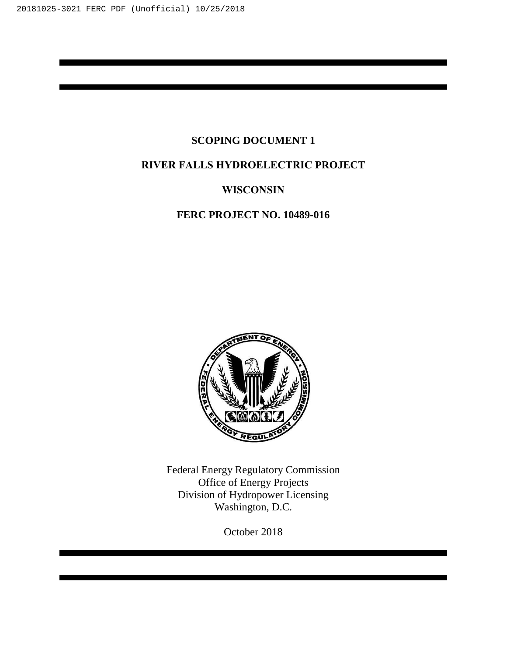## **SCOPING DOCUMENT 1**

## **RIVER FALLS HYDROELECTRIC PROJECT**

### **WISCONSIN**

## **FERC PROJECT NO. 10489-016**



Federal Energy Regulatory Commission Office of Energy Projects Division of Hydropower Licensing Washington, D.C.

October 2018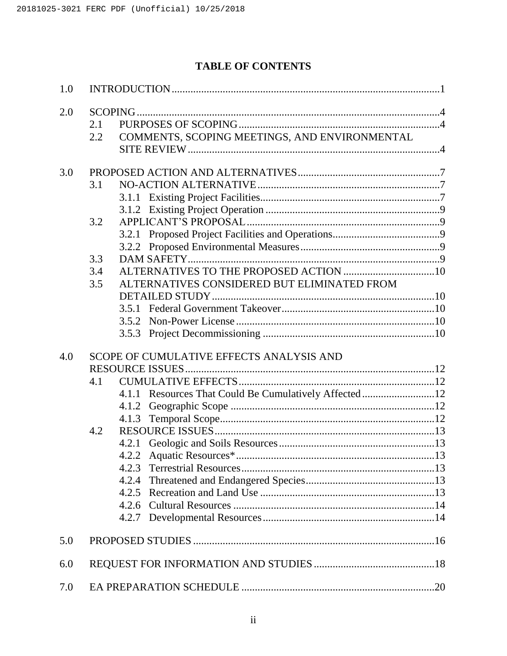# **TABLE OF CONTENTS**

| 1.0 |                                                       |  |
|-----|-------------------------------------------------------|--|
| 2.0 |                                                       |  |
|     | 2.1                                                   |  |
|     | COMMENTS, SCOPING MEETINGS, AND ENVIRONMENTAL<br>2.2  |  |
|     |                                                       |  |
|     |                                                       |  |
| 3.0 |                                                       |  |
|     | 3.1                                                   |  |
|     |                                                       |  |
|     |                                                       |  |
|     | 3.2                                                   |  |
|     |                                                       |  |
|     |                                                       |  |
|     | 3.3                                                   |  |
|     | 3.4                                                   |  |
|     | ALTERNATIVES CONSIDERED BUT ELIMINATED FROM<br>3.5    |  |
|     |                                                       |  |
|     |                                                       |  |
|     | 3.5.2                                                 |  |
|     |                                                       |  |
| 4.0 | SCOPE OF CUMULATIVE EFFECTS ANALYSIS AND              |  |
|     | 4.1                                                   |  |
|     | 4.1.1 Resources That Could Be Cumulatively Affected12 |  |
|     |                                                       |  |
|     |                                                       |  |
|     | 4.2                                                   |  |
|     |                                                       |  |
|     | 4.2.2                                                 |  |
|     | 4.2.3                                                 |  |
|     | 4.2.4                                                 |  |
|     |                                                       |  |
|     | 4.2.6                                                 |  |
|     |                                                       |  |
|     |                                                       |  |
| 5.0 |                                                       |  |
|     |                                                       |  |
| 6.0 |                                                       |  |
| 7.0 |                                                       |  |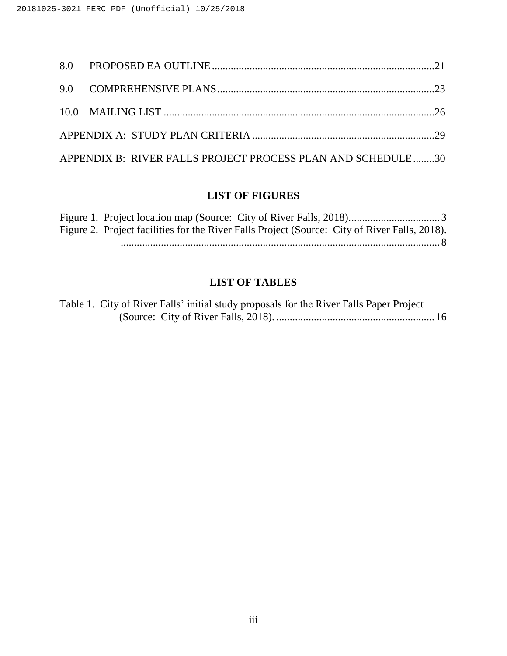| APPENDIX B: RIVER FALLS PROJECT PROCESS PLAN AND SCHEDULE30 |  |
|-------------------------------------------------------------|--|

## **LIST OF FIGURES**

| Figure 2. Project facilities for the River Falls Project (Source: City of River Falls, 2018). |  |
|-----------------------------------------------------------------------------------------------|--|
|                                                                                               |  |

## **LIST OF TABLES**

| Table 1. City of River Falls' initial study proposals for the River Falls Paper Project |  |  |  |  |
|-----------------------------------------------------------------------------------------|--|--|--|--|
|                                                                                         |  |  |  |  |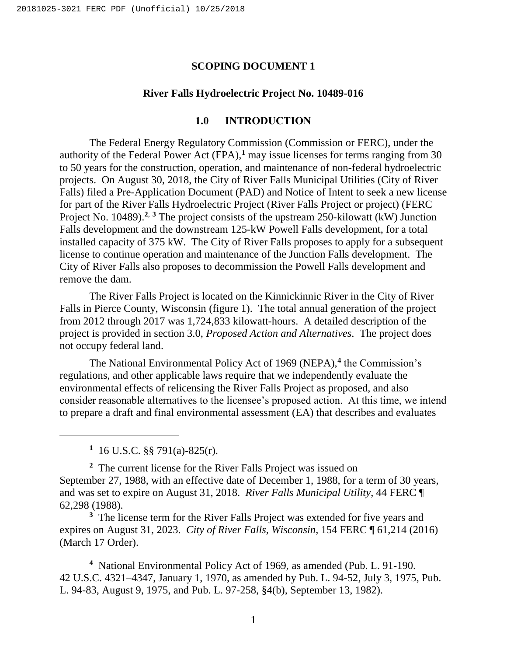#### **SCOPING DOCUMENT 1**

#### **River Falls Hydroelectric Project No. 10489-016**

#### **1.0 INTRODUCTION**

<span id="page-5-0"></span>The Federal Energy Regulatory Commission (Commission or FERC), under the authority of the Federal Power Act (FPA),**<sup>1</sup>** may issue licenses for terms ranging from 30 to 50 years for the construction, operation, and maintenance of non-federal hydroelectric projects. On August 30, 2018, the City of River Falls Municipal Utilities (City of River Falls) filed a Pre-Application Document (PAD) and Notice of Intent to seek a new license for part of the River Falls Hydroelectric Project (River Falls Project or project) (FERC Project No. 10489).<sup>2, 3</sup> The project consists of the upstream 250-kilowatt (kW) Junction Falls development and the downstream 125-kW Powell Falls development, for a total installed capacity of 375 kW. The City of River Falls proposes to apply for a subsequent license to continue operation and maintenance of the Junction Falls development. The City of River Falls also proposes to decommission the Powell Falls development and remove the dam.

The River Falls Project is located on the Kinnickinnic River in the City of River Falls in Pierce County, Wisconsin [\(figure 1\)](#page-7-0). The total annual generation of the project from 2012 through 2017 was 1,724,833 kilowatt-hours. A detailed description of the project is provided in section 3.0, *Proposed Action and Alternatives*. The project does not occupy federal land.

The National Environmental Policy Act of 1969 (NEPA),**<sup>4</sup>** the Commission's regulations, and other applicable laws require that we independently evaluate the environmental effects of relicensing the River Falls Project as proposed, and also consider reasonable alternatives to the licensee's proposed action. At this time, we intend to prepare a draft and final environmental assessment (EA) that describes and evaluates

**1** 16 U.S.C. §§ 791(a)-825(r).

 $\overline{a}$ 

**2** The current license for the River Falls Project was issued on September 27, 1988, with an effective date of December 1, 1988, for a term of 30 years, and was set to expire on August 31, 2018. *River Falls Municipal Utility*, 44 FERC ¶ 62,298 (1988).

<sup>3</sup> The license term for the River Falls Project was extended for five years and expires on August 31, 2023. *City of River Falls, Wisconsin*, 154 FERC ¶ 61,214 (2016) (March 17 Order).

**4** National Environmental Policy Act of 1969, as amended (Pub. L. 91-190. 42 U.S.C. 4321–4347, January 1, 1970, as amended by Pub. L. 94-52, July 3, 1975, Pub. L. 94-83, August 9, 1975, and Pub. L. 97-258, §4(b), September 13, 1982).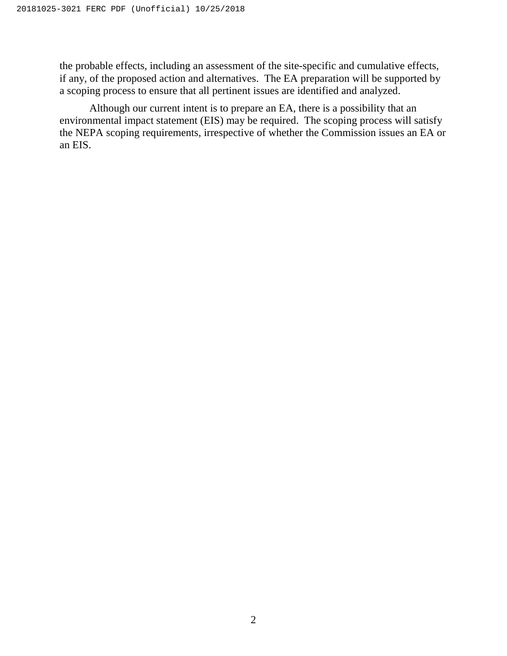the probable effects, including an assessment of the site-specific and cumulative effects, if any, of the proposed action and alternatives. The EA preparation will be supported by a scoping process to ensure that all pertinent issues are identified and analyzed.

Although our current intent is to prepare an EA, there is a possibility that an environmental impact statement (EIS) may be required. The scoping process will satisfy the NEPA scoping requirements, irrespective of whether the Commission issues an EA or an EIS.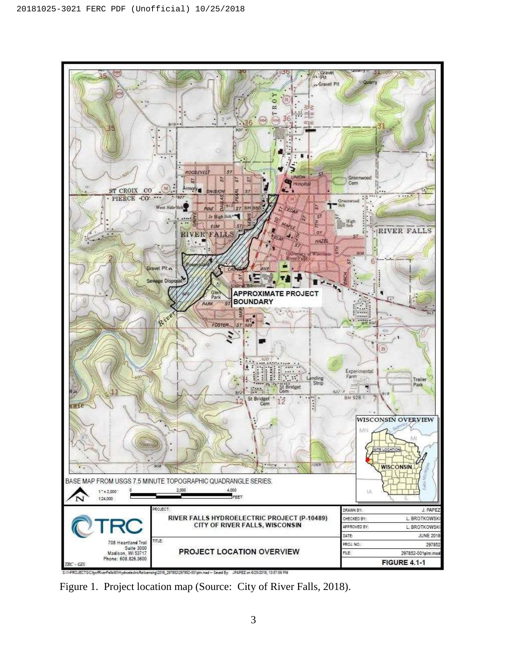

<span id="page-7-0"></span>Figure 1. Project location map (Source: City of River Falls, 2018).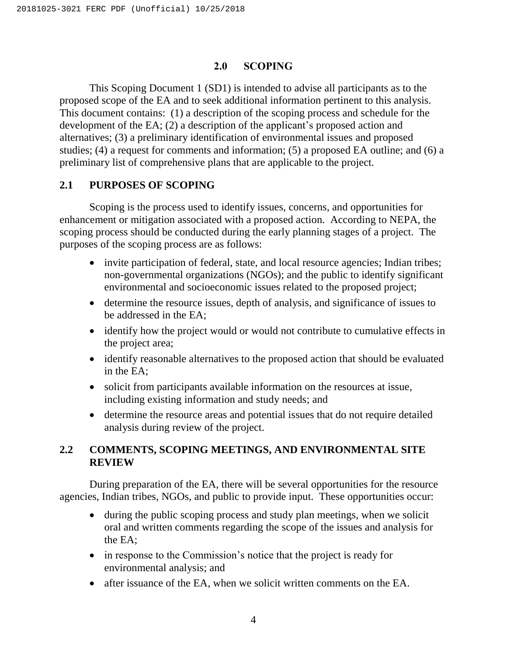#### **2.0 SCOPING**

<span id="page-8-0"></span>This Scoping Document 1 (SD1) is intended to advise all participants as to the proposed scope of the EA and to seek additional information pertinent to this analysis. This document contains: (1) a description of the scoping process and schedule for the development of the EA; (2) a description of the applicant's proposed action and alternatives; (3) a preliminary identification of environmental issues and proposed studies; (4) a request for comments and information; (5) a proposed EA outline; and (6) a preliminary list of comprehensive plans that are applicable to the project.

### <span id="page-8-1"></span>**2.1 PURPOSES OF SCOPING**

Scoping is the process used to identify issues, concerns, and opportunities for enhancement or mitigation associated with a proposed action. According to NEPA, the scoping process should be conducted during the early planning stages of a project. The purposes of the scoping process are as follows:

- invite participation of federal, state, and local resource agencies; Indian tribes; non-governmental organizations (NGOs); and the public to identify significant environmental and socioeconomic issues related to the proposed project;
- determine the resource issues, depth of analysis, and significance of issues to be addressed in the EA;
- identify how the project would or would not contribute to cumulative effects in the project area;
- identify reasonable alternatives to the proposed action that should be evaluated in the EA;
- solicit from participants available information on the resources at issue, including existing information and study needs; and
- determine the resource areas and potential issues that do not require detailed analysis during review of the project.

## <span id="page-8-2"></span>**2.2 COMMENTS, SCOPING MEETINGS, AND ENVIRONMENTAL SITE REVIEW**

During preparation of the EA, there will be several opportunities for the resource agencies, Indian tribes, NGOs, and public to provide input. These opportunities occur:

- during the public scoping process and study plan meetings, when we solicit oral and written comments regarding the scope of the issues and analysis for the EA;
- in response to the Commission's notice that the project is ready for environmental analysis; and
- after issuance of the EA, when we solicit written comments on the EA.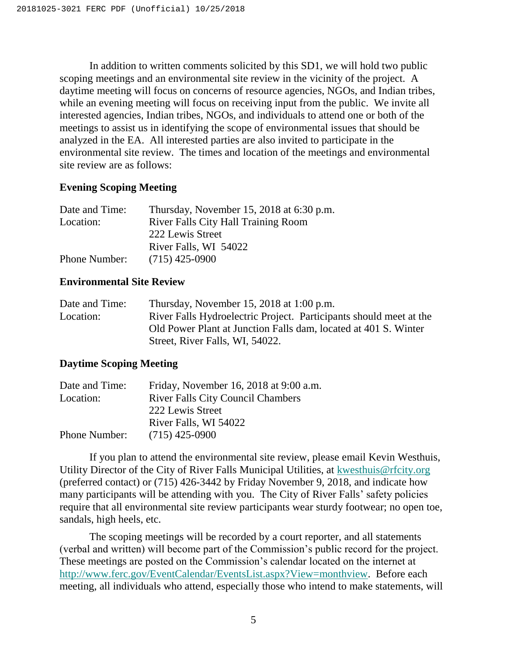In addition to written comments solicited by this SD1, we will hold two public scoping meetings and an environmental site review in the vicinity of the project. A daytime meeting will focus on concerns of resource agencies, NGOs, and Indian tribes, while an evening meeting will focus on receiving input from the public. We invite all interested agencies, Indian tribes, NGOs, and individuals to attend one or both of the meetings to assist us in identifying the scope of environmental issues that should be analyzed in the EA. All interested parties are also invited to participate in the environmental site review. The times and location of the meetings and environmental site review are as follows:

#### **Evening Scoping Meeting**

| Date and Time:       | Thursday, November 15, 2018 at 6:30 p.m.   |
|----------------------|--------------------------------------------|
| Location:            | <b>River Falls City Hall Training Room</b> |
|                      | 222 Lewis Street                           |
|                      | River Falls, WI 54022                      |
| <b>Phone Number:</b> | $(715)$ 425-0900                           |

#### **Environmental Site Review**

| Date and Time: | Thursday, November 15, 2018 at 1:00 p.m.                           |
|----------------|--------------------------------------------------------------------|
| Location:      | River Falls Hydroelectric Project. Participants should meet at the |
|                | Old Power Plant at Junction Falls dam, located at 401 S. Winter    |
|                | Street, River Falls, WI, 54022.                                    |

### **Daytime Scoping Meeting**

| Date and Time: | Friday, November 16, 2018 at 9:00 a.m.   |
|----------------|------------------------------------------|
| Location:      | <b>River Falls City Council Chambers</b> |
|                | 222 Lewis Street                         |
|                | River Falls, WI 54022                    |
| Phone Number:  | $(715)$ 425-0900                         |

If you plan to attend the environmental site review, please email Kevin Westhuis, Utility Director of the City of River Falls Municipal Utilities, at [kwesthuis@rfcity.org](mailto:email@.com) (preferred contact) or (715) 426-3442 by Friday November 9, 2018, and indicate how many participants will be attending with you. The City of River Falls' safety policies require that all environmental site review participants wear sturdy footwear; no open toe, sandals, high heels, etc.

The scoping meetings will be recorded by a court reporter, and all statements (verbal and written) will become part of the Commission's public record for the project. These meetings are posted on the Commission's calendar located on the internet at [http://www.ferc.gov/EventCalendar/EventsList.aspx?View=monthview.](http://www.ferc.gov/EventCalendar/EventsList.aspx?View=monthview) Before each meeting, all individuals who attend, especially those who intend to make statements, will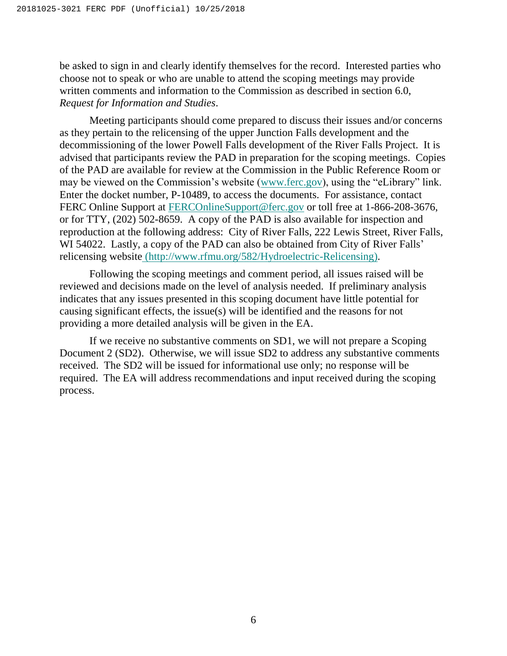be asked to sign in and clearly identify themselves for the record. Interested parties who choose not to speak or who are unable to attend the scoping meetings may provide written comments and information to the Commission as described in section 6.0, *Request for Information and Studies*.

Meeting participants should come prepared to discuss their issues and/or concerns as they pertain to the relicensing of the upper Junction Falls development and the decommissioning of the lower Powell Falls development of the River Falls Project. It is advised that participants review the PAD in preparation for the scoping meetings. Copies of the PAD are available for review at the Commission in the Public Reference Room or may be viewed on the Commission's website [\(www.ferc.gov\)](http://www.ferc.gov/), using the "eLibrary" link. Enter the docket number, P-10489, to access the documents. For assistance, contact FERC Online Support at [FERCOnlineSupport@ferc.gov](mailto:FERCOnlineSupport@ferc.gov) or toll free at 1-866-208-3676, or for TTY, (202) 502-8659. A copy of the PAD is also available for inspection and reproduction at the following address: City of River Falls, 222 Lewis Street, River Falls, WI 54022. Lastly, a copy of the PAD can also be obtained from City of River Falls' relicensing website (http://www.rfmu.org/582/Hydroelectric-Relicensing).

Following the scoping meetings and comment period, all issues raised will be reviewed and decisions made on the level of analysis needed. If preliminary analysis indicates that any issues presented in this scoping document have little potential for causing significant effects, the issue(s) will be identified and the reasons for not providing a more detailed analysis will be given in the EA.

If we receive no substantive comments on SD1, we will not prepare a Scoping Document 2 (SD2). Otherwise, we will issue SD2 to address any substantive comments received. The SD2 will be issued for informational use only; no response will be required. The EA will address recommendations and input received during the scoping process.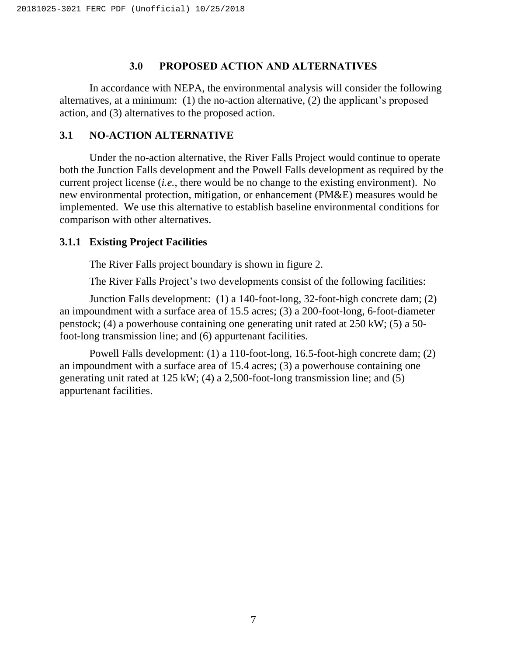#### **3.0 PROPOSED ACTION AND ALTERNATIVES**

<span id="page-11-0"></span>In accordance with NEPA, the environmental analysis will consider the following alternatives, at a minimum: (1) the no-action alternative, (2) the applicant's proposed action, and (3) alternatives to the proposed action.

#### <span id="page-11-1"></span>**3.1 NO-ACTION ALTERNATIVE**

Under the no-action alternative, the River Falls Project would continue to operate both the Junction Falls development and the Powell Falls development as required by the current project license (*i.e.*, there would be no change to the existing environment). No new environmental protection, mitigation, or enhancement (PM&E) measures would be implemented. We use this alternative to establish baseline environmental conditions for comparison with other alternatives.

#### <span id="page-11-2"></span>**3.1.1 Existing Project Facilities**

The River Falls project boundary is shown in [figure 2.](#page-12-0)

The River Falls Project's two developments consist of the following facilities:

Junction Falls development: (1) a 140-foot-long, 32-foot-high concrete dam; (2) an impoundment with a surface area of 15.5 acres; (3) a 200-foot-long, 6-foot-diameter penstock; (4) a powerhouse containing one generating unit rated at 250 kW; (5) a 50 foot-long transmission line; and (6) appurtenant facilities.

Powell Falls development: (1) a 110-foot-long, 16.5-foot-high concrete dam; (2) an impoundment with a surface area of 15.4 acres; (3) a powerhouse containing one generating unit rated at 125 kW; (4) a 2,500-foot-long transmission line; and (5) appurtenant facilities.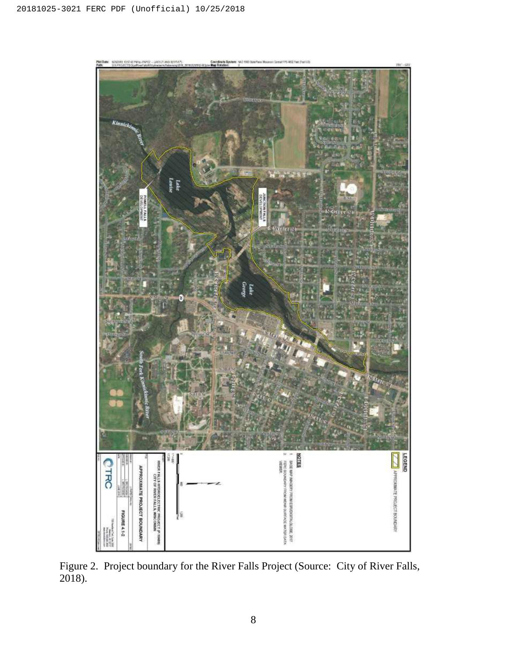

<span id="page-12-0"></span>Figure 2. Project boundary for the River Falls Project (Source: City of River Falls, 2018).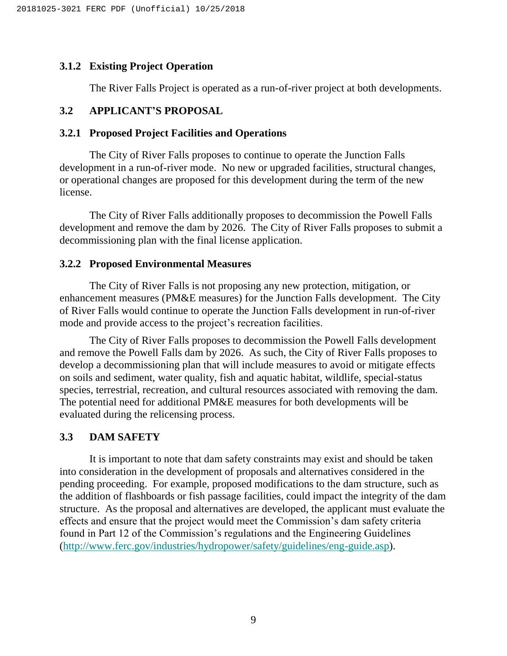#### <span id="page-13-0"></span>**3.1.2 Existing Project Operation**

The River Falls Project is operated as a run-of-river project at both developments.

### <span id="page-13-1"></span>**3.2 APPLICANT'S PROPOSAL**

#### <span id="page-13-2"></span>**3.2.1 Proposed Project Facilities and Operations**

The City of River Falls proposes to continue to operate the Junction Falls development in a run-of-river mode. No new or upgraded facilities, structural changes, or operational changes are proposed for this development during the term of the new license.

The City of River Falls additionally proposes to decommission the Powell Falls development and remove the dam by 2026. The City of River Falls proposes to submit a decommissioning plan with the final license application.

#### <span id="page-13-3"></span>**3.2.2 Proposed Environmental Measures**

The City of River Falls is not proposing any new protection, mitigation, or enhancement measures (PM&E measures) for the Junction Falls development. The City of River Falls would continue to operate the Junction Falls development in run-of-river mode and provide access to the project's recreation facilities.

The City of River Falls proposes to decommission the Powell Falls development and remove the Powell Falls dam by 2026. As such, the City of River Falls proposes to develop a decommissioning plan that will include measures to avoid or mitigate effects on soils and sediment, water quality, fish and aquatic habitat, wildlife, special-status species, terrestrial, recreation, and cultural resources associated with removing the dam. The potential need for additional PM&E measures for both developments will be evaluated during the relicensing process.

#### <span id="page-13-4"></span>**3.3 DAM SAFETY**

It is important to note that dam safety constraints may exist and should be taken into consideration in the development of proposals and alternatives considered in the pending proceeding. For example, proposed modifications to the dam structure, such as the addition of flashboards or fish passage facilities, could impact the integrity of the dam structure. As the proposal and alternatives are developed, the applicant must evaluate the effects and ensure that the project would meet the Commission's dam safety criteria found in Part 12 of the Commission's regulations and the Engineering Guidelines [\(http://www.ferc.gov/industries/hydropower/safety/guidelines/eng-guide.asp\)](http://www.ferc.gov/industries/hydropower/safety/guidelines/eng-guide.asp).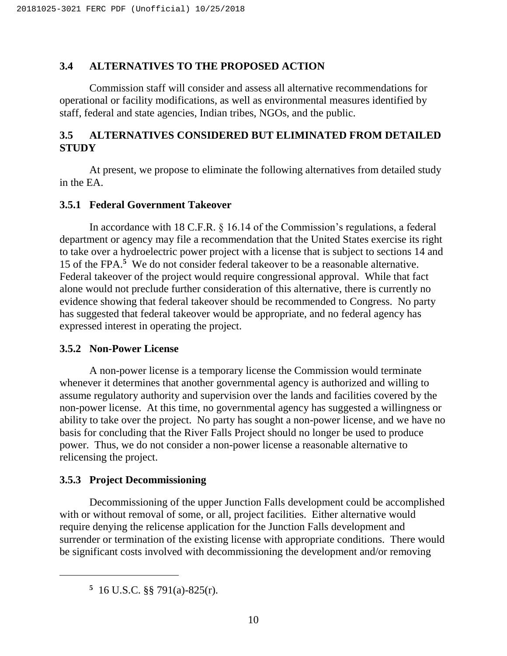#### <span id="page-14-0"></span>**3.4 ALTERNATIVES TO THE PROPOSED ACTION**

Commission staff will consider and assess all alternative recommendations for operational or facility modifications, as well as environmental measures identified by staff, federal and state agencies, Indian tribes, NGOs, and the public.

## <span id="page-14-1"></span>**3.5 ALTERNATIVES CONSIDERED BUT ELIMINATED FROM DETAILED STUDY**

At present, we propose to eliminate the following alternatives from detailed study in the EA.

#### <span id="page-14-2"></span>**3.5.1 Federal Government Takeover**

In accordance with 18 C.F.R. § 16.14 of the Commission's regulations, a federal department or agency may file a recommendation that the United States exercise its right to take over a hydroelectric power project with a license that is subject to sections 14 and 15 of the FPA.**<sup>5</sup>** We do not consider federal takeover to be a reasonable alternative. Federal takeover of the project would require congressional approval. While that fact alone would not preclude further consideration of this alternative, there is currently no evidence showing that federal takeover should be recommended to Congress. No party has suggested that federal takeover would be appropriate, and no federal agency has expressed interest in operating the project.

#### <span id="page-14-3"></span>**3.5.2 Non-Power License**

A non-power license is a temporary license the Commission would terminate whenever it determines that another governmental agency is authorized and willing to assume regulatory authority and supervision over the lands and facilities covered by the non-power license. At this time, no governmental agency has suggested a willingness or ability to take over the project. No party has sought a non-power license, and we have no basis for concluding that the River Falls Project should no longer be used to produce power. Thus, we do not consider a non-power license a reasonable alternative to relicensing the project.

#### <span id="page-14-4"></span>**3.5.3 Project Decommissioning**

 $\overline{\phantom{a}}$ 

Decommissioning of the upper Junction Falls development could be accomplished with or without removal of some, or all, project facilities. Either alternative would require denying the relicense application for the Junction Falls development and surrender or termination of the existing license with appropriate conditions. There would be significant costs involved with decommissioning the development and/or removing

**5** 16 U.S.C. §§ 791(a)-825(r).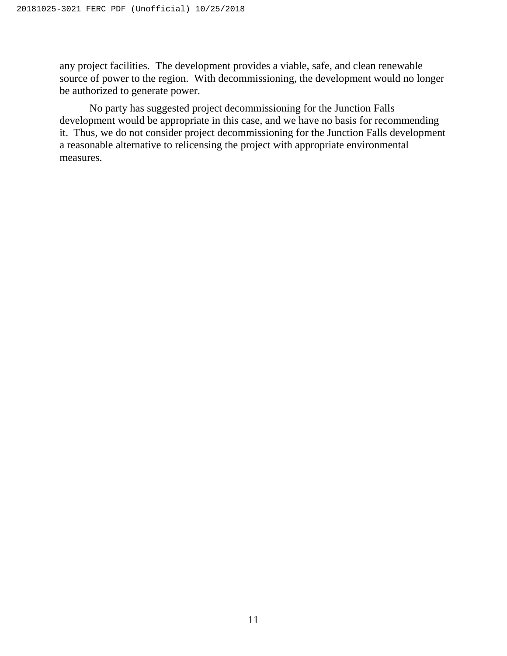any project facilities. The development provides a viable, safe, and clean renewable source of power to the region. With decommissioning, the development would no longer be authorized to generate power.

No party has suggested project decommissioning for the Junction Falls development would be appropriate in this case, and we have no basis for recommending it. Thus, we do not consider project decommissioning for the Junction Falls development a reasonable alternative to relicensing the project with appropriate environmental measures.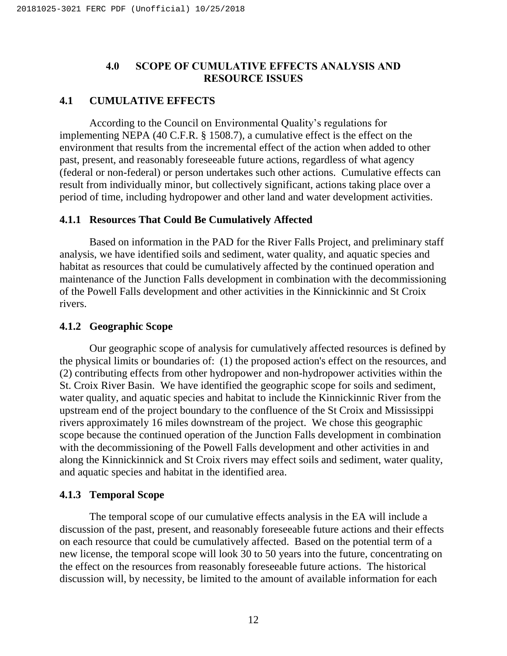### **4.0 SCOPE OF CUMULATIVE EFFECTS ANALYSIS AND RESOURCE ISSUES**

## <span id="page-16-1"></span><span id="page-16-0"></span>**4.1 CUMULATIVE EFFECTS**

According to the Council on Environmental Quality's regulations for implementing NEPA (40 C.F.R. § 1508.7), a cumulative effect is the effect on the environment that results from the incremental effect of the action when added to other past, present, and reasonably foreseeable future actions, regardless of what agency (federal or non-federal) or person undertakes such other actions. Cumulative effects can result from individually minor, but collectively significant, actions taking place over a period of time, including hydropower and other land and water development activities.

### <span id="page-16-2"></span>**4.1.1 Resources That Could Be Cumulatively Affected**

Based on information in the PAD for the River Falls Project, and preliminary staff analysis, we have identified soils and sediment, water quality, and aquatic species and habitat as resources that could be cumulatively affected by the continued operation and maintenance of the Junction Falls development in combination with the decommissioning of the Powell Falls development and other activities in the Kinnickinnic and St Croix rivers.

### <span id="page-16-3"></span>**4.1.2 Geographic Scope**

Our geographic scope of analysis for cumulatively affected resources is defined by the physical limits or boundaries of: (1) the proposed action's effect on the resources, and (2) contributing effects from other hydropower and non-hydropower activities within the St. Croix River Basin. We have identified the geographic scope for soils and sediment, water quality, and aquatic species and habitat to include the Kinnickinnic River from the upstream end of the project boundary to the confluence of the St Croix and Mississippi rivers approximately 16 miles downstream of the project. We chose this geographic scope because the continued operation of the Junction Falls development in combination with the decommissioning of the Powell Falls development and other activities in and along the Kinnickinnick and St Croix rivers may effect soils and sediment, water quality, and aquatic species and habitat in the identified area.

## <span id="page-16-4"></span>**4.1.3 Temporal Scope**

The temporal scope of our cumulative effects analysis in the EA will include a discussion of the past, present, and reasonably foreseeable future actions and their effects on each resource that could be cumulatively affected. Based on the potential term of a new license, the temporal scope will look 30 to 50 years into the future, concentrating on the effect on the resources from reasonably foreseeable future actions. The historical discussion will, by necessity, be limited to the amount of available information for each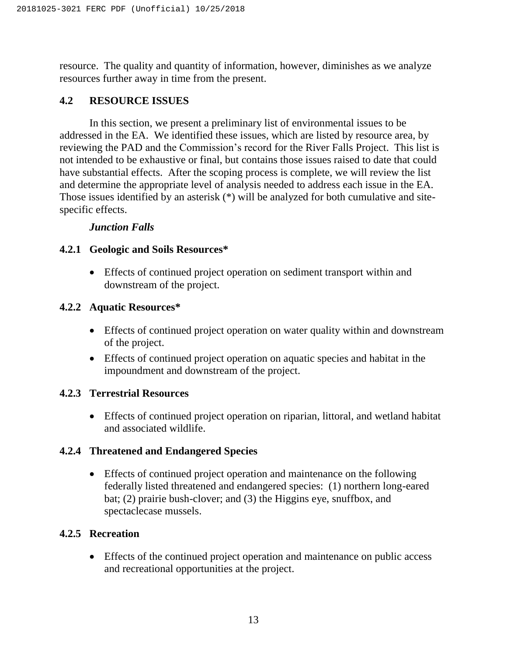resource. The quality and quantity of information, however, diminishes as we analyze resources further away in time from the present.

## <span id="page-17-0"></span>**4.2 RESOURCE ISSUES**

In this section, we present a preliminary list of environmental issues to be addressed in the EA. We identified these issues, which are listed by resource area, by reviewing the PAD and the Commission's record for the River Falls Project. This list is not intended to be exhaustive or final, but contains those issues raised to date that could have substantial effects. After the scoping process is complete, we will review the list and determine the appropriate level of analysis needed to address each issue in the EA. Those issues identified by an asterisk (\*) will be analyzed for both cumulative and sitespecific effects.

### *Junction Falls*

### <span id="page-17-1"></span>**4.2.1 Geologic and Soils Resources\***

 Effects of continued project operation on sediment transport within and downstream of the project.

### <span id="page-17-2"></span>**4.2.2 Aquatic Resources\***

- Effects of continued project operation on water quality within and downstream of the project.
- Effects of continued project operation on aquatic species and habitat in the impoundment and downstream of the project.

### <span id="page-17-3"></span>**4.2.3 Terrestrial Resources**

 Effects of continued project operation on riparian, littoral, and wetland habitat and associated wildlife.

### <span id="page-17-4"></span>**4.2.4 Threatened and Endangered Species**

 Effects of continued project operation and maintenance on the following federally listed threatened and endangered species: (1) northern long-eared bat; (2) prairie bush-clover; and (3) the Higgins eye, snuffbox, and spectaclecase mussels.

### <span id="page-17-5"></span>**4.2.5 Recreation**

 Effects of the continued project operation and maintenance on public access and recreational opportunities at the project.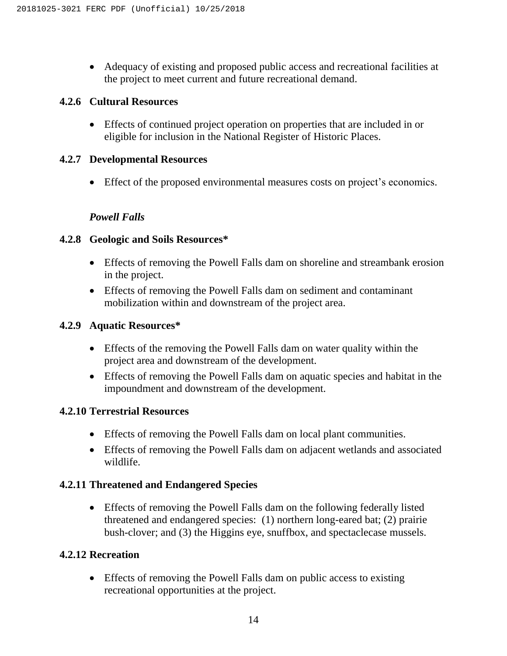Adequacy of existing and proposed public access and recreational facilities at the project to meet current and future recreational demand.

### <span id="page-18-1"></span><span id="page-18-0"></span>**4.2.6 Cultural Resources**

 Effects of continued project operation on properties that are included in or eligible for inclusion in the National Register of Historic Places.

### **4.2.7 Developmental Resources**

Effect of the proposed environmental measures costs on project's economics.

### *Powell Falls*

### **4.2.8 Geologic and Soils Resources\***

- Effects of removing the Powell Falls dam on shoreline and streambank erosion in the project.
- Effects of removing the Powell Falls dam on sediment and contaminant mobilization within and downstream of the project area.

## **4.2.9 Aquatic Resources\***

- Effects of the removing the Powell Falls dam on water quality within the project area and downstream of the development.
- Effects of removing the Powell Falls dam on aquatic species and habitat in the impoundment and downstream of the development.

### **4.2.10 Terrestrial Resources**

- Effects of removing the Powell Falls dam on local plant communities.
- Effects of removing the Powell Falls dam on adjacent wetlands and associated wildlife.

### **4.2.11 Threatened and Endangered Species**

 Effects of removing the Powell Falls dam on the following federally listed threatened and endangered species: (1) northern long-eared bat; (2) prairie bush-clover; and (3) the Higgins eye, snuffbox, and spectaclecase mussels.

## **4.2.12 Recreation**

 Effects of removing the Powell Falls dam on public access to existing recreational opportunities at the project.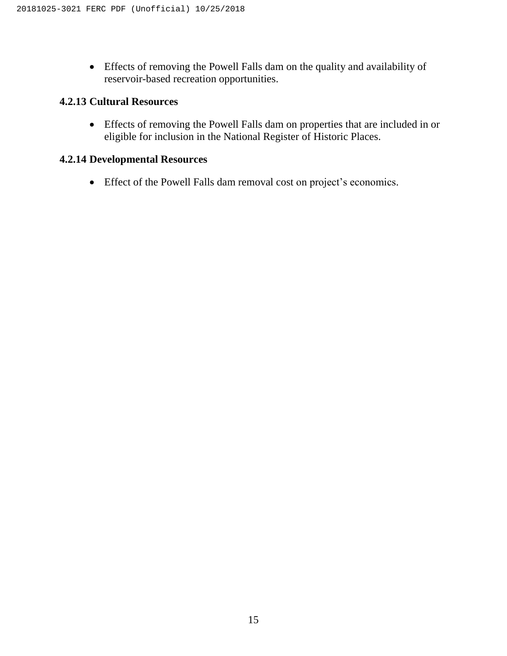Effects of removing the Powell Falls dam on the quality and availability of reservoir-based recreation opportunities.

## **4.2.13 Cultural Resources**

 Effects of removing the Powell Falls dam on properties that are included in or eligible for inclusion in the National Register of Historic Places.

### **4.2.14 Developmental Resources**

Effect of the Powell Falls dam removal cost on project's economics.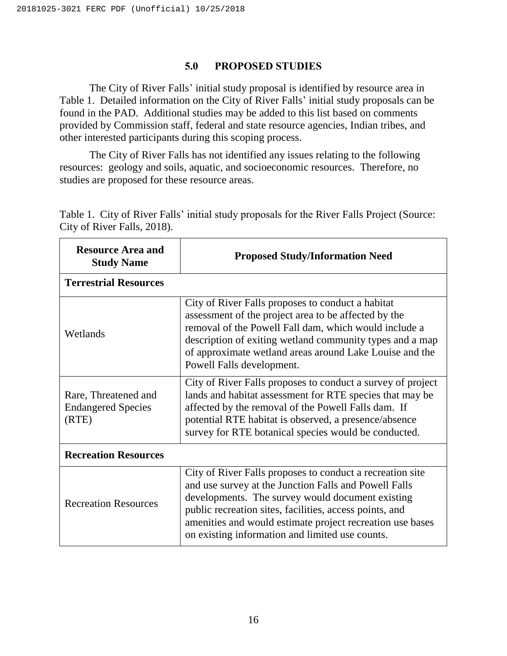#### **5.0 PROPOSED STUDIES**

<span id="page-20-0"></span>The City of River Falls' initial study proposal is identified by resource area in [Table 1.](#page-20-1) Detailed information on the City of River Falls' initial study proposals can be found in the PAD. Additional studies may be added to this list based on comments provided by Commission staff, federal and state resource agencies, Indian tribes, and other interested participants during this scoping process.

The City of River Falls has not identified any issues relating to the following resources: geology and soils, aquatic, and socioeconomic resources. Therefore, no studies are proposed for these resource areas.

| <b>Resource Area and</b><br><b>Study Name</b>              | <b>Proposed Study/Information Need</b>                                                                                                                                                                                                                                                                                                            |  |  |
|------------------------------------------------------------|---------------------------------------------------------------------------------------------------------------------------------------------------------------------------------------------------------------------------------------------------------------------------------------------------------------------------------------------------|--|--|
| <b>Terrestrial Resources</b>                               |                                                                                                                                                                                                                                                                                                                                                   |  |  |
| Wetlands                                                   | City of River Falls proposes to conduct a habitat<br>assessment of the project area to be affected by the<br>removal of the Powell Fall dam, which would include a<br>description of exiting wetland community types and a map<br>of approximate wetland areas around Lake Louise and the<br>Powell Falls development.                            |  |  |
| Rare, Threatened and<br><b>Endangered Species</b><br>(RTE) | City of River Falls proposes to conduct a survey of project<br>lands and habitat assessment for RTE species that may be<br>affected by the removal of the Powell Falls dam. If<br>potential RTE habitat is observed, a presence/absence<br>survey for RTE botanical species would be conducted.                                                   |  |  |
| <b>Recreation Resources</b>                                |                                                                                                                                                                                                                                                                                                                                                   |  |  |
| <b>Recreation Resources</b>                                | City of River Falls proposes to conduct a recreation site<br>and use survey at the Junction Falls and Powell Falls<br>developments. The survey would document existing<br>public recreation sites, facilities, access points, and<br>amenities and would estimate project recreation use bases<br>on existing information and limited use counts. |  |  |

<span id="page-20-1"></span>Table 1. City of River Falls' initial study proposals for the River Falls Project (Source: City of River Falls, 2018).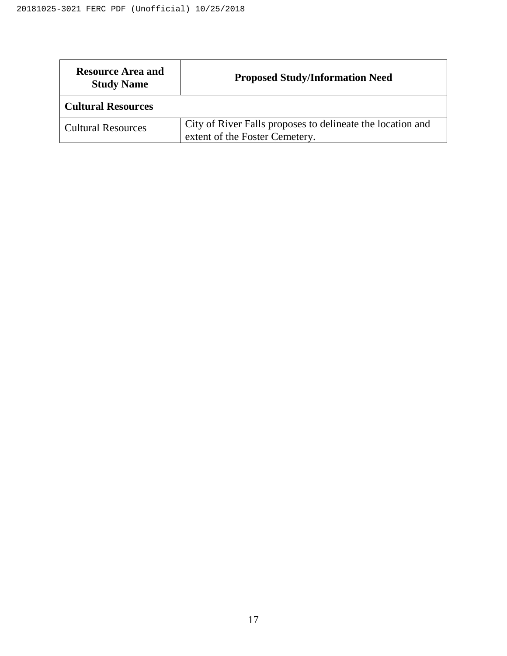| <b>Resource Area and</b><br><b>Study Name</b> | <b>Proposed Study/Information Need</b>                                                       |  |  |
|-----------------------------------------------|----------------------------------------------------------------------------------------------|--|--|
| <b>Cultural Resources</b>                     |                                                                                              |  |  |
| <b>Cultural Resources</b>                     | City of River Falls proposes to delineate the location and<br>extent of the Foster Cemetery. |  |  |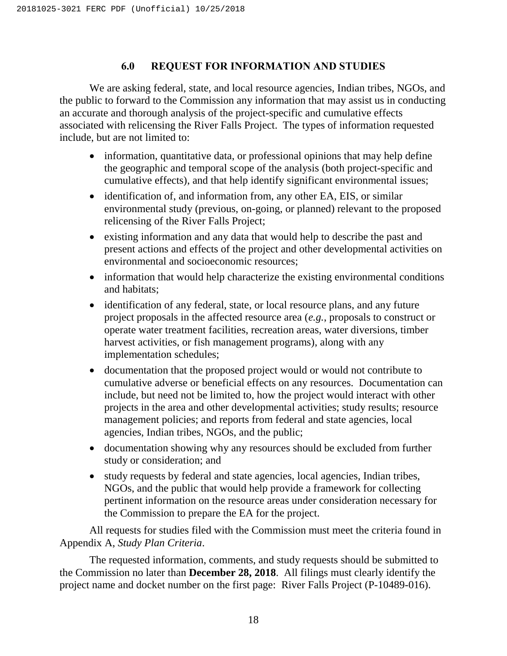### **6.0 REQUEST FOR INFORMATION AND STUDIES**

<span id="page-22-0"></span>We are asking federal, state, and local resource agencies, Indian tribes, NGOs, and the public to forward to the Commission any information that may assist us in conducting an accurate and thorough analysis of the project-specific and cumulative effects associated with relicensing the River Falls Project. The types of information requested include, but are not limited to:

- information, quantitative data, or professional opinions that may help define the geographic and temporal scope of the analysis (both project-specific and cumulative effects), and that help identify significant environmental issues;
- identification of, and information from, any other EA, EIS, or similar environmental study (previous, on-going, or planned) relevant to the proposed relicensing of the River Falls Project;
- existing information and any data that would help to describe the past and present actions and effects of the project and other developmental activities on environmental and socioeconomic resources;
- information that would help characterize the existing environmental conditions and habitats;
- identification of any federal, state, or local resource plans, and any future project proposals in the affected resource area (*e.g.*, proposals to construct or operate water treatment facilities, recreation areas, water diversions, timber harvest activities, or fish management programs), along with any implementation schedules;
- documentation that the proposed project would or would not contribute to cumulative adverse or beneficial effects on any resources. Documentation can include, but need not be limited to, how the project would interact with other projects in the area and other developmental activities; study results; resource management policies; and reports from federal and state agencies, local agencies, Indian tribes, NGOs, and the public;
- documentation showing why any resources should be excluded from further study or consideration; and
- study requests by federal and state agencies, local agencies, Indian tribes, NGOs, and the public that would help provide a framework for collecting pertinent information on the resource areas under consideration necessary for the Commission to prepare the EA for the project.

All requests for studies filed with the Commission must meet the criteria found in Appendix A, *Study Plan Criteria*.

The requested information, comments, and study requests should be submitted to the Commission no later than **December 28, 2018**. All filings must clearly identify the project name and docket number on the first page: River Falls Project (P-10489-016).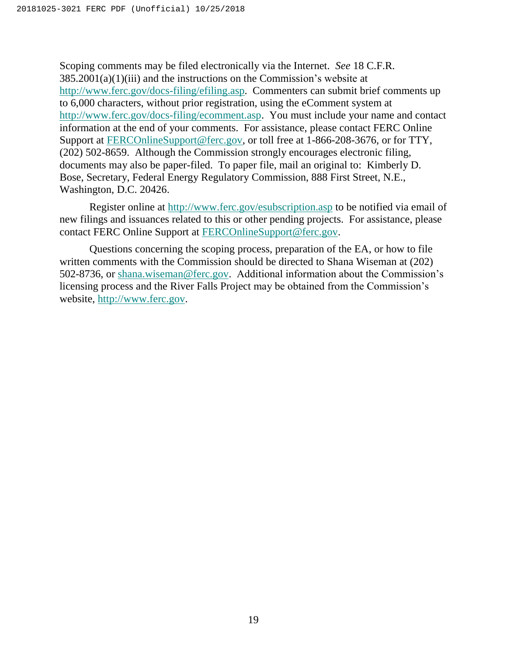Scoping comments may be filed electronically via the Internet. *See* 18 C.F.R.  $385.2001(a)(1)(iii)$  and the instructions on the Commission's website at [http://www.ferc.gov/docs-filing/efiling.asp.](http://www.ferc.gov/docs-filing/efiling.asp) Commenters can submit brief comments up to 6,000 characters, without prior registration, using the eComment system at [http://www.ferc.gov/docs-filing/ecomment.asp.](http://www.ferc.gov/docs-filing/ecomment.asp) You must include your name and contact information at the end of your comments. For assistance, please contact FERC Online Support at [FERCOnlineSupport@ferc.gov,](mailto:FERCOnlineSupport@ferc.gov) or toll free at 1-866-208-3676, or for TTY, (202) 502-8659. Although the Commission strongly encourages electronic filing, documents may also be paper-filed. To paper file, mail an original to: Kimberly D. Bose, Secretary, Federal Energy Regulatory Commission, 888 First Street, N.E., Washington, D.C. 20426.

Register online at<http://www.ferc.gov/esubscription.asp> to be notified via email of new filings and issuances related to this or other pending projects. For assistance, please contact FERC Online Support at [FERCOnlineSupport@ferc.gov.](mailto:FERCOnlineSupport@ferc.gov)

Questions concerning the scoping process, preparation of the EA, or how to file written comments with the Commission should be directed to Shana Wiseman at (202) 502-8736, or [shana.wiseman@ferc.gov.](mailto:shana.wiseman@ferc.gov) Additional information about the Commission's licensing process and the River Falls Project may be obtained from the Commission's website, [http://www.ferc.gov.](http://www.ferc.gov/)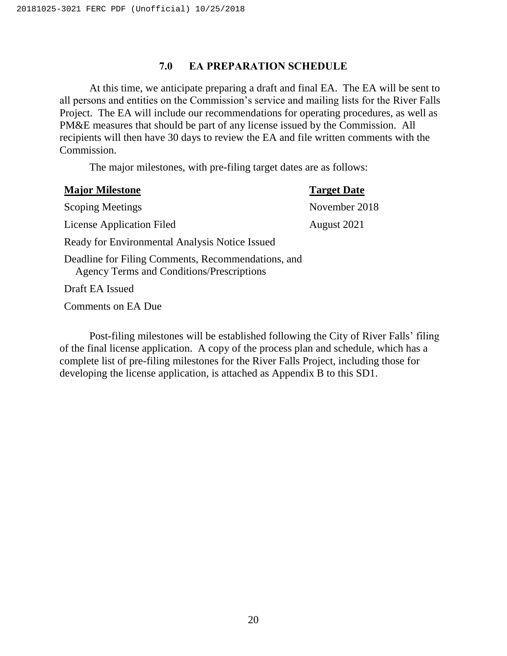#### **7.0 EA PREPARATION SCHEDULE**

<span id="page-24-0"></span>At this time, we anticipate preparing a draft and final EA. The EA will be sent to all persons and entities on the Commission's service and mailing lists for the River Falls Project. The EA will include our recommendations for operating procedures, as well as PM&E measures that should be part of any license issued by the Commission. All recipients will then have 30 days to review the EA and file written comments with the Commission.

The major milestones, with pre-filing target dates are as follows:

| <b>Major Milestone</b>                                                                                 | <b>Target Date</b> |
|--------------------------------------------------------------------------------------------------------|--------------------|
| <b>Scoping Meetings</b>                                                                                | November 2018      |
| <b>License Application Filed</b>                                                                       | August 2021        |
| Ready for Environmental Analysis Notice Issued                                                         |                    |
| Deadline for Filing Comments, Recommendations, and<br><b>Agency Terms and Conditions/Prescriptions</b> |                    |
| Draft EA Issued                                                                                        |                    |

Comments on EA Due

Post-filing milestones will be established following the City of River Falls' filing of the final license application. A copy of the process plan and schedule, which has a complete list of pre-filing milestones for the River Falls Project, including those for developing the license application, is attached as Appendix B to this SD1.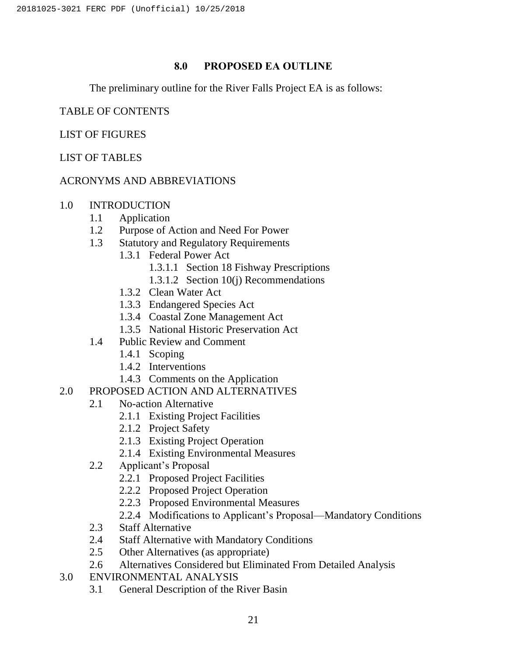### **8.0 PROPOSED EA OUTLINE**

<span id="page-25-0"></span>The preliminary outline for the River Falls Project EA is as follows:

### TABLE OF CONTENTS

### LIST OF FIGURES

### LIST OF TABLES

### ACRONYMS AND ABBREVIATIONS

### 1.0 INTRODUCTION

- 1.1 Application
- 1.2 Purpose of Action and Need For Power
- 1.3 Statutory and Regulatory Requirements
	- 1.3.1 Federal Power Act
		- 1.3.1.1 Section 18 Fishway Prescriptions
		- 1.3.1.2 Section 10(j) Recommendations
	- 1.3.2 Clean Water Act
	- 1.3.3 Endangered Species Act
	- 1.3.4 Coastal Zone Management Act
	- 1.3.5 National Historic Preservation Act
- 1.4 Public Review and Comment
	- 1.4.1 Scoping
	- 1.4.2 Interventions
	- 1.4.3 Comments on the Application
- 2.0 PROPOSED ACTION AND ALTERNATIVES
	- 2.1 No-action Alternative
		- 2.1.1 Existing Project Facilities
		- 2.1.2 Project Safety
		- 2.1.3 Existing Project Operation
		- 2.1.4 Existing Environmental Measures
	- 2.2 Applicant's Proposal
		- 2.2.1 Proposed Project Facilities
		- 2.2.2 Proposed Project Operation
		- 2.2.3 Proposed Environmental Measures
		- 2.2.4 Modifications to Applicant's Proposal—Mandatory Conditions
	- 2.3 Staff Alternative
	- 2.4 Staff Alternative with Mandatory Conditions
	- 2.5 Other Alternatives (as appropriate)
	- 2.6 Alternatives Considered but Eliminated From Detailed Analysis
- 3.0 ENVIRONMENTAL ANALYSIS
	- 3.1 General Description of the River Basin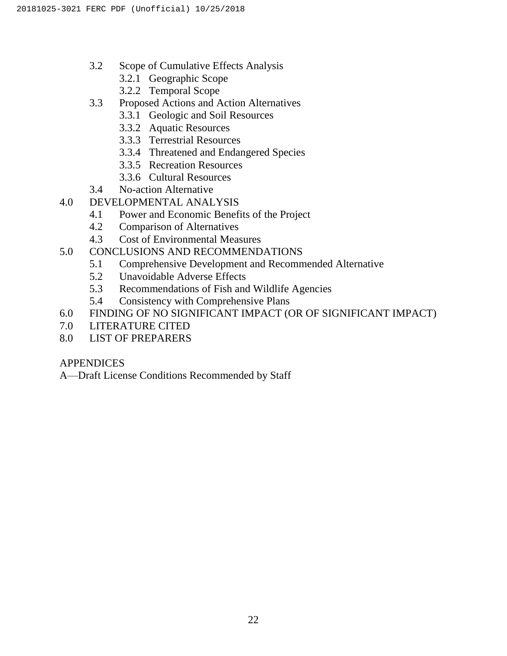- 3.2 Scope of Cumulative Effects Analysis
	- 3.2.1 Geographic Scope
	- 3.2.2 Temporal Scope
- 3.3 Proposed Actions and Action Alternatives
	- 3.3.1 Geologic and Soil Resources
	- 3.3.2 Aquatic Resources
	- 3.3.3 Terrestrial Resources
	- 3.3.4 Threatened and Endangered Species
	- 3.3.5 Recreation Resources
	- 3.3.6 Cultural Resources
- 3.4 No-action Alternative
- 4.0 DEVELOPMENTAL ANALYSIS
	- 4.1 Power and Economic Benefits of the Project
	- 4.2 Comparison of Alternatives
	- 4.3 Cost of Environmental Measures
- 5.0 CONCLUSIONS AND RECOMMENDATIONS
	- 5.1 Comprehensive Development and Recommended Alternative
	- 5.2 Unavoidable Adverse Effects
	- 5.3 Recommendations of Fish and Wildlife Agencies
	- 5.4 Consistency with Comprehensive Plans
- 6.0 FINDING OF NO SIGNIFICANT IMPACT (OR OF SIGNIFICANT IMPACT)
- 7.0 LITERATURE CITED
- 8.0 LIST OF PREPARERS

## APPENDICES

A—Draft License Conditions Recommended by Staff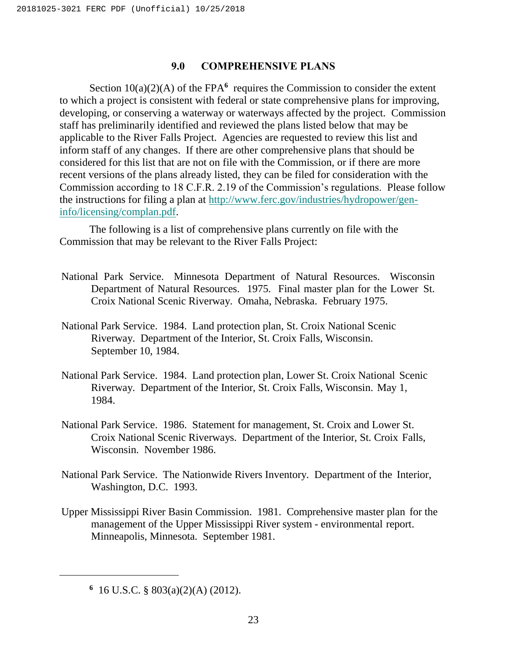#### **9.0 COMPREHENSIVE PLANS**

<span id="page-27-0"></span>Section  $10(a)(2)(A)$  of the FPA<sup>6</sup> requires the Commission to consider the extent to which a project is consistent with federal or state comprehensive plans for improving, developing, or conserving a waterway or waterways affected by the project. Commission staff has preliminarily identified and reviewed the plans listed below that may be applicable to the River Falls Project. Agencies are requested to review this list and inform staff of any changes. If there are other comprehensive plans that should be considered for this list that are not on file with the Commission, or if there are more recent versions of the plans already listed, they can be filed for consideration with the Commission according to 18 C.F.R. 2.19 of the Commission's regulations. Please follow the instructions for filing a plan at [http://www.ferc.gov/industries/hydropower/gen](http://www.ferc.gov/industries/hydropower/gen-info/licensing/complan.pdf)[info/licensing/complan.pdf.](http://www.ferc.gov/industries/hydropower/gen-info/licensing/complan.pdf)

The following is a list of comprehensive plans currently on file with the Commission that may be relevant to the River Falls Project:

- National Park Service. Minnesota Department of Natural Resources. Wisconsin Department of Natural Resources. 1975. Final master plan for the Lower St. Croix National Scenic Riverway. Omaha, Nebraska. February 1975.
- National Park Service. 1984. Land protection plan, St. Croix National Scenic Riverway. Department of the Interior, St. Croix Falls, Wisconsin. September 10, 1984.
- National Park Service. 1984. Land protection plan, Lower St. Croix National Scenic Riverway. Department of the Interior, St. Croix Falls, Wisconsin. May 1, 1984.
- National Park Service. 1986. Statement for management, St. Croix and Lower St. Croix National Scenic Riverways. Department of the Interior, St. Croix Falls, Wisconsin. November 1986.
- National Park Service. The Nationwide Rivers Inventory. Department of the Interior, Washington, D.C. 1993.
- Upper Mississippi River Basin Commission. 1981. Comprehensive master plan for the management of the Upper Mississippi River system - environmental report. Minneapolis, Minnesota. September 1981.

 $\overline{\phantom{a}}$ 

**<sup>6</sup>** 16 U.S.C. § 803(a)(2)(A) (2012).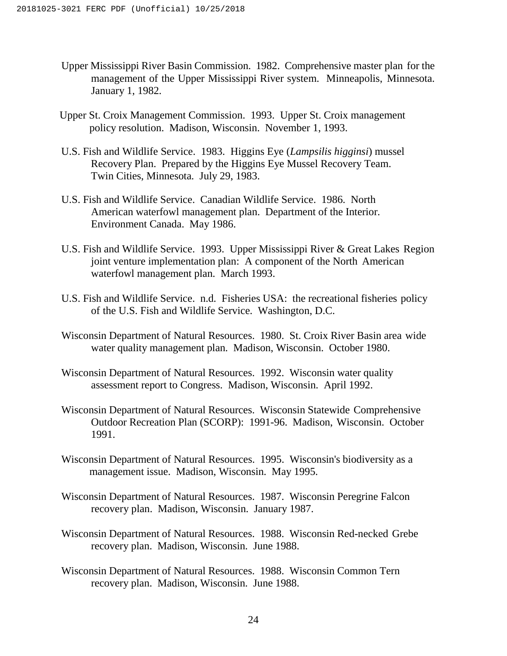- Upper Mississippi River Basin Commission. 1982. Comprehensive master plan for the management of the Upper Mississippi River system. Minneapolis, Minnesota. January 1, 1982.
- Upper St. Croix Management Commission. 1993. Upper St. Croix management policy resolution. Madison, Wisconsin. November 1, 1993.
- U.S. Fish and Wildlife Service. 1983. Higgins Eye (*Lampsilis higginsi*) mussel Recovery Plan. Prepared by the Higgins Eye Mussel Recovery Team. Twin Cities, Minnesota. July 29, 1983.
- U.S. Fish and Wildlife Service. Canadian Wildlife Service. 1986. North American waterfowl management plan. Department of the Interior. Environment Canada. May 1986.
- U.S. Fish and Wildlife Service. 1993. Upper Mississippi River & Great Lakes Region joint venture implementation plan: A component of the North American waterfowl management plan. March 1993.
- U.S. Fish and Wildlife Service. n.d. Fisheries USA: the recreational fisheries policy of the U.S. Fish and Wildlife Service. Washington, D.C.
- Wisconsin Department of Natural Resources. 1980. St. Croix River Basin area wide water quality management plan. Madison, Wisconsin. October 1980.
- Wisconsin Department of Natural Resources. 1992. Wisconsin water quality assessment report to Congress. Madison, Wisconsin. April 1992.
- Wisconsin Department of Natural Resources. Wisconsin Statewide Comprehensive Outdoor Recreation Plan (SCORP): 1991-96. Madison, Wisconsin. October 1991.
- Wisconsin Department of Natural Resources. 1995. Wisconsin's biodiversity as a management issue. Madison, Wisconsin. May 1995.
- Wisconsin Department of Natural Resources. 1987. Wisconsin Peregrine Falcon recovery plan. Madison, Wisconsin. January 1987.
- Wisconsin Department of Natural Resources. 1988. Wisconsin Red-necked Grebe recovery plan. Madison, Wisconsin. June 1988.
- Wisconsin Department of Natural Resources. 1988. Wisconsin Common Tern recovery plan. Madison, Wisconsin. June 1988.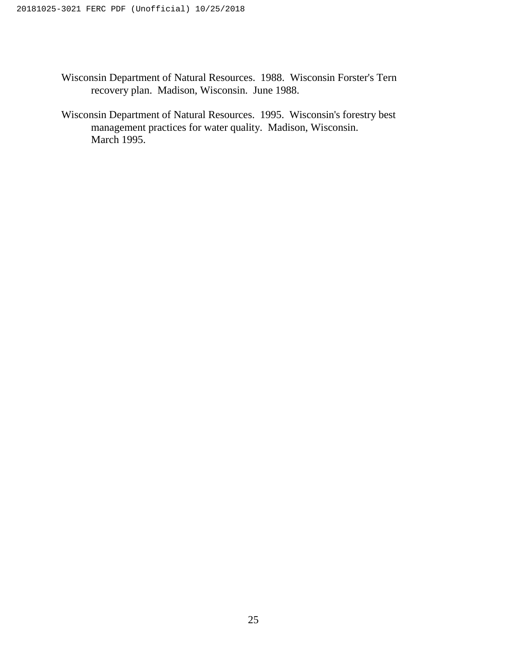- Wisconsin Department of Natural Resources. 1988. Wisconsin Forster's Tern recovery plan. Madison, Wisconsin. June 1988.
- Wisconsin Department of Natural Resources. 1995. Wisconsin's forestry best management practices for water quality. Madison, Wisconsin. March 1995.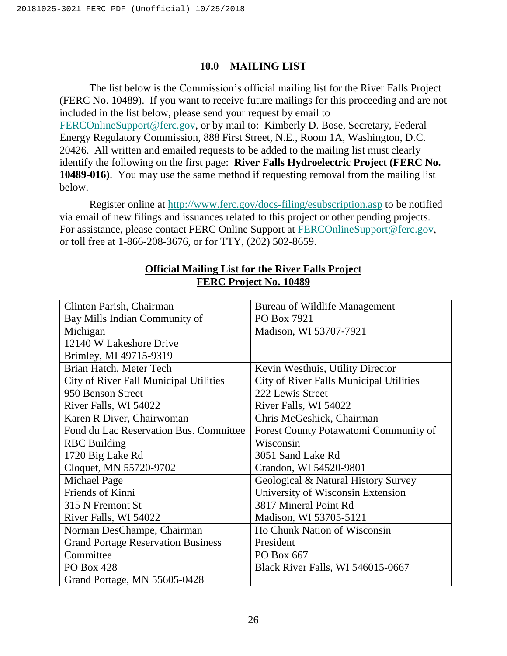#### **10.0 MAILING LIST**

<span id="page-30-0"></span>The list below is the Commission's official mailing list for the River Falls Project (FERC No. 10489). If you want to receive future mailings for this proceeding and are not included in the list below, please send your request by email to [FERCOnlineSupport@ferc.gov,](mailto:FERCOnlineSupport@ferc.gov) or by mail to: Kimberly D. Bose, Secretary, Federal Energy Regulatory Commission, 888 First Street, N.E., Room 1A, Washington, D.C. 20426. All written and emailed requests to be added to the mailing list must clearly identify the following on the first page: **River Falls Hydroelectric Project (FERC No. 10489-016)**.You may use the same method if requesting removal from the mailing list below.

Register online at<http://www.ferc.gov/docs-filing/esubscription.asp> to be notified via email of new filings and issuances related to this project or other pending projects. For assistance, please contact FERC Online Support at [FERCOnlineSupport@ferc.gov,](mailto:FERCOnlineSupport@ferc.gov) or toll free at 1-866-208-3676, or for TTY, (202) 502-8659.

| Clinton Parish, Chairman                      | Bureau of Wildlife Management           |
|-----------------------------------------------|-----------------------------------------|
| Bay Mills Indian Community of                 | PO Box 7921                             |
| Michigan                                      | Madison, WI 53707-7921                  |
| 12140 W Lakeshore Drive                       |                                         |
| Brimley, MI 49715-9319                        |                                         |
| Brian Hatch, Meter Tech                       | Kevin Westhuis, Utility Director        |
| <b>City of River Fall Municipal Utilities</b> | City of River Falls Municipal Utilities |
| 950 Benson Street                             | 222 Lewis Street                        |
| River Falls, WI 54022                         | River Falls, WI 54022                   |
| Karen R Diver, Chairwoman                     | Chris McGeshick, Chairman               |
| Fond du Lac Reservation Bus. Committee        | Forest County Potawatomi Community of   |
| <b>RBC</b> Building                           | Wisconsin                               |
| 1720 Big Lake Rd                              | 3051 Sand Lake Rd                       |
| Cloquet, MN 55720-9702                        | Crandon, WI 54520-9801                  |
| Michael Page                                  | Geological & Natural History Survey     |
| Friends of Kinni                              | University of Wisconsin Extension       |
| 315 N Fremont St                              | 3817 Mineral Point Rd                   |
| River Falls, WI 54022                         | Madison, WI 53705-5121                  |
| Norman DesChampe, Chairman                    | Ho Chunk Nation of Wisconsin            |
| <b>Grand Portage Reservation Business</b>     | President                               |
| Committee                                     | PO Box 667                              |
| <b>PO Box 428</b>                             | Black River Falls, WI 546015-0667       |
| Grand Portage, MN 55605-0428                  |                                         |

## **Official Mailing List for the River Falls Project FERC Project No. 10489**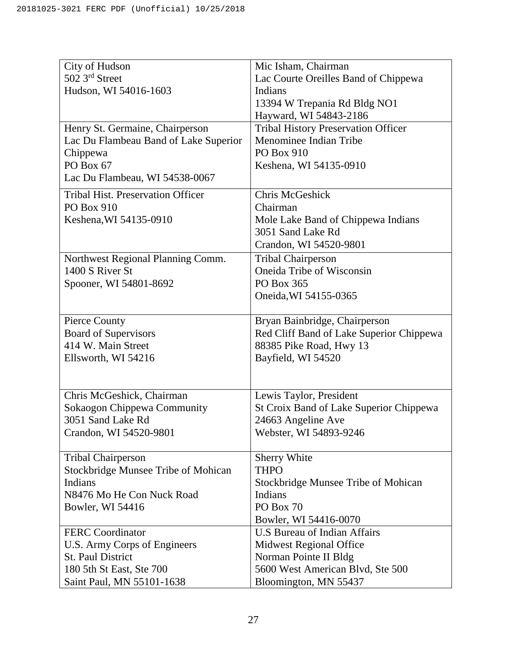| City of Hudson                                           | Mic Isham, Chairman                                                |
|----------------------------------------------------------|--------------------------------------------------------------------|
| 502 3rd Street                                           | Lac Courte Oreilles Band of Chippewa                               |
| Hudson, WI 54016-1603                                    | Indians                                                            |
|                                                          | 13394 W Trepania Rd Bldg NO1                                       |
|                                                          | Hayward, WI 54843-2186                                             |
| Henry St. Germaine, Chairperson                          | <b>Tribal History Preservation Officer</b>                         |
| Lac Du Flambeau Band of Lake Superior                    | Menominee Indian Tribe                                             |
| Chippewa                                                 | PO Box 910                                                         |
| PO Box 67                                                | Keshena, WI 54135-0910                                             |
| Lac Du Flambeau, WI 54538-0067                           |                                                                    |
| <b>Tribal Hist. Preservation Officer</b>                 | Chris McGeshick                                                    |
| PO Box 910                                               | Chairman                                                           |
| Keshena, WI 54135-0910                                   | Mole Lake Band of Chippewa Indians                                 |
|                                                          | 3051 Sand Lake Rd                                                  |
|                                                          | Crandon, WI 54520-9801                                             |
| Northwest Regional Planning Comm.                        | <b>Tribal Chairperson</b>                                          |
| 1400 S River St                                          | Oneida Tribe of Wisconsin                                          |
| Spooner, WI 54801-8692                                   | PO Box 365                                                         |
|                                                          | Oneida, WI 54155-0365                                              |
|                                                          |                                                                    |
| Pierce County                                            | Bryan Bainbridge, Chairperson                                      |
| <b>Board of Supervisors</b>                              | Red Cliff Band of Lake Superior Chippewa                           |
| 414 W. Main Street                                       | 88385 Pike Road, Hwy 13                                            |
| Ellsworth, WI 54216                                      | Bayfield, WI 54520                                                 |
|                                                          |                                                                    |
|                                                          |                                                                    |
| Chris McGeshick, Chairman<br>Sokaogon Chippewa Community | Lewis Taylor, President<br>St Croix Band of Lake Superior Chippewa |
| 3051 Sand Lake Rd                                        | 24663 Angeline Ave                                                 |
| Crandon, WI 54520-9801                                   | Webster, WI 54893-9246                                             |
|                                                          |                                                                    |
| <b>Tribal Chairperson</b>                                | Sherry White                                                       |
| Stockbridge Munsee Tribe of Mohican                      | <b>THPO</b>                                                        |
| Indians                                                  | Stockbridge Munsee Tribe of Mohican                                |
| N8476 Mo He Con Nuck Road                                | Indians                                                            |
| Bowler, WI 54416                                         | PO Box 70                                                          |
|                                                          | Bowler, WI 54416-0070                                              |
| <b>FERC</b> Coordinator                                  | <b>U.S Bureau of Indian Affairs</b>                                |
| U.S. Army Corps of Engineers                             | <b>Midwest Regional Office</b>                                     |
| <b>St. Paul District</b>                                 | Norman Pointe II Bldg                                              |
| 180 5th St East, Ste 700                                 | 5600 West American Blvd, Ste 500                                   |
| Saint Paul, MN 55101-1638                                | Bloomington, MN 55437                                              |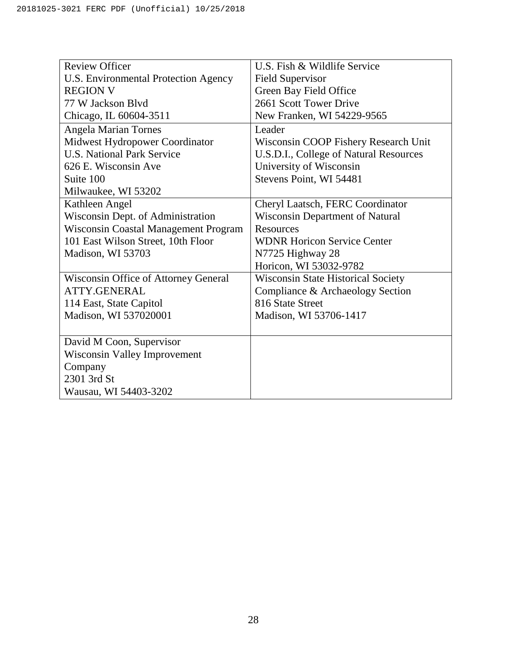| <b>Review Officer</b>                       | U.S. Fish & Wildlife Service              |
|---------------------------------------------|-------------------------------------------|
| U.S. Environmental Protection Agency        | <b>Field Supervisor</b>                   |
| <b>REGION V</b>                             | Green Bay Field Office                    |
| 77 W Jackson Blyd                           | 2661 Scott Tower Drive                    |
| Chicago, IL 60604-3511                      | New Franken, WI 54229-9565                |
| <b>Angela Marian Tornes</b>                 | Leader                                    |
| Midwest Hydropower Coordinator              | Wisconsin COOP Fishery Research Unit      |
| <b>U.S. National Park Service</b>           | U.S.D.I., College of Natural Resources    |
| 626 E. Wisconsin Ave                        | University of Wisconsin                   |
| Suite 100                                   | Stevens Point, WI 54481                   |
| Milwaukee, WI 53202                         |                                           |
| Kathleen Angel                              | Cheryl Laatsch, FERC Coordinator          |
| Wisconsin Dept. of Administration           | Wisconsin Department of Natural           |
| <b>Wisconsin Coastal Management Program</b> | Resources                                 |
| 101 East Wilson Street, 10th Floor          | <b>WDNR Horicon Service Center</b>        |
| Madison, WI 53703                           | N7725 Highway 28                          |
|                                             | Horicon, WI 53032-9782                    |
| Wisconsin Office of Attorney General        | <b>Wisconsin State Historical Society</b> |
| <b>ATTY.GENERAL</b>                         | Compliance & Archaeology Section          |
| 114 East, State Capitol                     | 816 State Street                          |
| Madison, WI 537020001                       | Madison, WI 53706-1417                    |
|                                             |                                           |
| David M Coon, Supervisor                    |                                           |
| <b>Wisconsin Valley Improvement</b>         |                                           |
| Company                                     |                                           |
| 2301 3rd St                                 |                                           |
| Wausau, WI 54403-3202                       |                                           |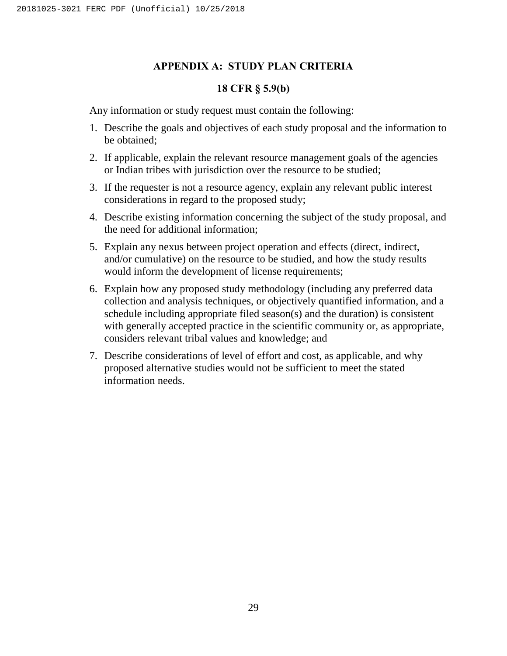#### **APPENDIX A: STUDY PLAN CRITERIA**

#### **18 CFR § 5.9(b)**

<span id="page-33-0"></span>Any information or study request must contain the following:

- 1. Describe the goals and objectives of each study proposal and the information to be obtained;
- 2. If applicable, explain the relevant resource management goals of the agencies or Indian tribes with jurisdiction over the resource to be studied;
- 3. If the requester is not a resource agency, explain any relevant public interest considerations in regard to the proposed study;
- 4. Describe existing information concerning the subject of the study proposal, and the need for additional information;
- 5. Explain any nexus between project operation and effects (direct, indirect, and/or cumulative) on the resource to be studied, and how the study results would inform the development of license requirements;
- 6. Explain how any proposed study methodology (including any preferred data collection and analysis techniques, or objectively quantified information, and a schedule including appropriate filed season(s) and the duration) is consistent with generally accepted practice in the scientific community or, as appropriate, considers relevant tribal values and knowledge; and
- 7. Describe considerations of level of effort and cost, as applicable, and why proposed alternative studies would not be sufficient to meet the stated information needs.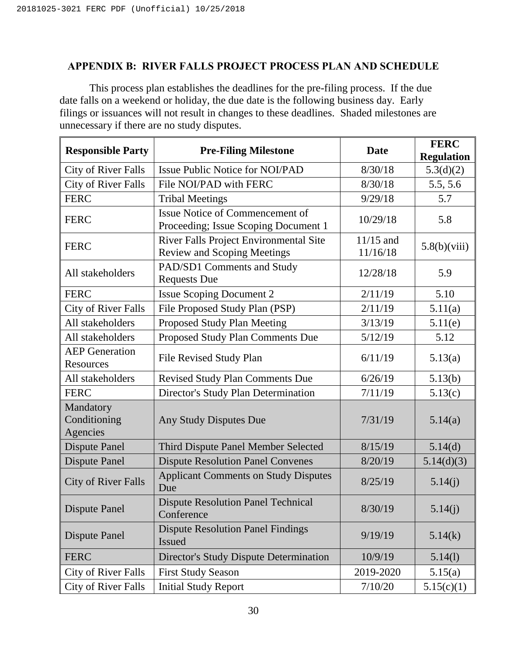## <span id="page-34-0"></span>**APPENDIX B: RIVER FALLS PROJECT PROCESS PLAN AND SCHEDULE**

This process plan establishes the deadlines for the pre-filing process. If the due date falls on a weekend or holiday, the due date is the following business day. Early filings or issuances will not result in changes to these deadlines. Shaded milestones are unnecessary if there are no study disputes.

| <b>Responsible Party</b>              | <b>Pre-Filing Milestone</b>                                                  | <b>Date</b>             | <b>FERC</b><br><b>Regulation</b> |
|---------------------------------------|------------------------------------------------------------------------------|-------------------------|----------------------------------|
| <b>City of River Falls</b>            | <b>Issue Public Notice for NOI/PAD</b>                                       | 8/30/18                 | 5.3(d)(2)                        |
| <b>City of River Falls</b>            | File NOI/PAD with FERC                                                       | 8/30/18                 | 5.5, 5.6                         |
| <b>FERC</b>                           | <b>Tribal Meetings</b>                                                       | 9/29/18                 | 5.7                              |
| <b>FERC</b>                           | Issue Notice of Commencement of<br>Proceeding; Issue Scoping Document 1      | 10/29/18                | 5.8                              |
| <b>FERC</b>                           | River Falls Project Environmental Site<br><b>Review and Scoping Meetings</b> | $11/15$ and<br>11/16/18 | 5.8(b)(viii)                     |
| All stakeholders                      | PAD/SD1 Comments and Study<br><b>Requests Due</b>                            | 12/28/18                | 5.9                              |
| <b>FERC</b>                           | <b>Issue Scoping Document 2</b>                                              | 2/11/19                 | 5.10                             |
| <b>City of River Falls</b>            | File Proposed Study Plan (PSP)                                               | 2/11/19                 | 5.11(a)                          |
| All stakeholders                      | Proposed Study Plan Meeting                                                  | 3/13/19                 | 5.11(e)                          |
| All stakeholders                      | Proposed Study Plan Comments Due                                             | 5/12/19                 | 5.12                             |
| <b>AEP</b> Generation<br>Resources    | File Revised Study Plan                                                      | 6/11/19                 | 5.13(a)                          |
| All stakeholders                      | <b>Revised Study Plan Comments Due</b>                                       | 6/26/19                 | 5.13(b)                          |
| <b>FERC</b>                           | Director's Study Plan Determination                                          | 7/11/19                 | 5.13(c)                          |
| Mandatory<br>Conditioning<br>Agencies | Any Study Disputes Due                                                       | 7/31/19                 | 5.14(a)                          |
| <b>Dispute Panel</b>                  | Third Dispute Panel Member Selected                                          | 8/15/19                 | 5.14(d)                          |
| <b>Dispute Panel</b>                  | <b>Dispute Resolution Panel Convenes</b>                                     | 8/20/19                 | 5.14(d)(3)                       |
| <b>City of River Falls</b>            | <b>Applicant Comments on Study Disputes</b><br>Due                           | 8/25/19                 | 5.14(j)                          |
| <b>Dispute Panel</b>                  | <b>Dispute Resolution Panel Technical</b><br>Conference                      | 8/30/19                 | 5.14(j)                          |
| <b>Dispute Panel</b>                  | <b>Dispute Resolution Panel Findings</b><br>Issued                           | 9/19/19                 | 5.14(k)                          |
| <b>FERC</b>                           | Director's Study Dispute Determination                                       | 10/9/19                 | 5.14(1)                          |
| <b>City of River Falls</b>            | <b>First Study Season</b>                                                    | 2019-2020               | 5.15(a)                          |
| <b>City of River Falls</b>            | <b>Initial Study Report</b>                                                  | 7/10/20                 | 5.15(c)(1)                       |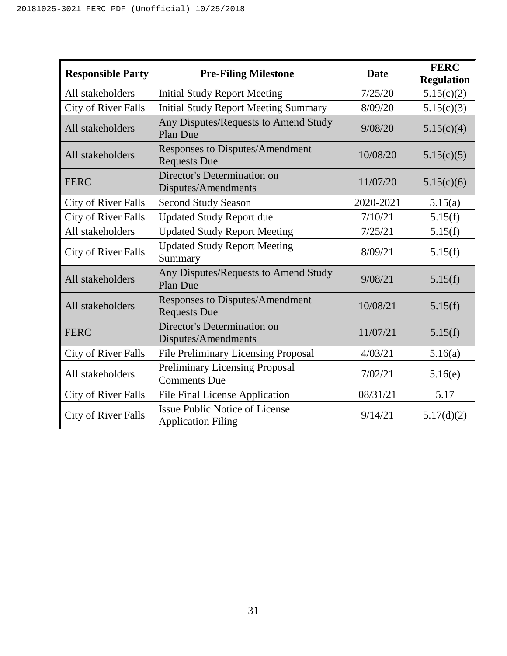| <b>Responsible Party</b>   | <b>Pre-Filing Milestone</b>                                        | Date      | <b>FERC</b><br><b>Regulation</b> |
|----------------------------|--------------------------------------------------------------------|-----------|----------------------------------|
| All stakeholders           | <b>Initial Study Report Meeting</b>                                | 7/25/20   | 5.15(c)(2)                       |
| <b>City of River Falls</b> | <b>Initial Study Report Meeting Summary</b>                        | 8/09/20   | 5.15(c)(3)                       |
| All stakeholders           | Any Disputes/Requests to Amend Study<br>Plan Due                   | 9/08/20   | 5.15(c)(4)                       |
| All stakeholders           | Responses to Disputes/Amendment<br><b>Requests Due</b>             | 10/08/20  | 5.15(c)(5)                       |
| <b>FERC</b>                | Director's Determination on<br>Disputes/Amendments                 | 11/07/20  | 5.15(c)(6)                       |
| <b>City of River Falls</b> | <b>Second Study Season</b>                                         | 2020-2021 | 5.15(a)                          |
| <b>City of River Falls</b> | <b>Updated Study Report due</b>                                    | 7/10/21   | 5.15(f)                          |
| All stakeholders           | <b>Updated Study Report Meeting</b>                                | 7/25/21   | 5.15(f)                          |
| <b>City of River Falls</b> | <b>Updated Study Report Meeting</b><br>Summary                     | 8/09/21   | 5.15(f)                          |
| All stakeholders           | Any Disputes/Requests to Amend Study<br>Plan Due                   | 9/08/21   | 5.15(f)                          |
| All stakeholders           | Responses to Disputes/Amendment<br><b>Requests Due</b>             | 10/08/21  | 5.15(f)                          |
| <b>FERC</b>                | Director's Determination on<br>Disputes/Amendments                 | 11/07/21  | 5.15(f)                          |
| <b>City of River Falls</b> | <b>File Preliminary Licensing Proposal</b>                         | 4/03/21   | 5.16(a)                          |
| All stakeholders           | <b>Preliminary Licensing Proposal</b><br><b>Comments Due</b>       | 7/02/21   | 5.16(e)                          |
| <b>City of River Falls</b> | <b>File Final License Application</b>                              | 08/31/21  | 5.17                             |
| City of River Falls        | <b>Issue Public Notice of License</b><br><b>Application Filing</b> | 9/14/21   | 5.17(d)(2)                       |